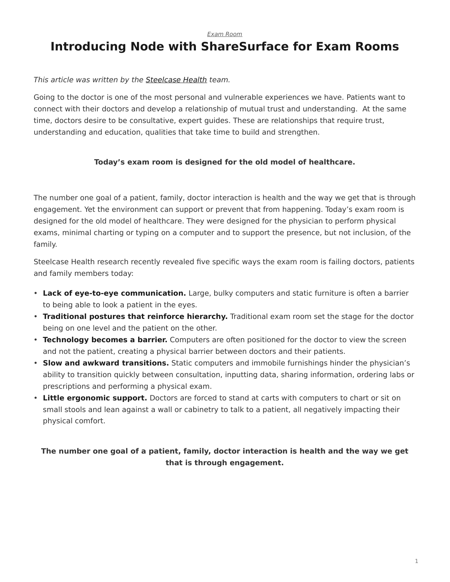*[Exam Room](https://www.steelcase.com/research/topics/medical-exam-room/)*

# <span id="page-0-0"></span>**Introducing Node with ShareSurface for Exam Rooms**

#### *This article was written by the [Steelcase Health](https://www.steelcase.com/discover/information/health/) team.*

Going to the doctor is one of the most personal and vulnerable experiences we have. Patients want to connect with their doctors and develop a relationship of mutual trust and understanding. At the same time, doctors desire to be consultative, expert guides. These are relationships that require trust, understanding and education, qualities that take time to build and strengthen.

#### **Today's exam room is designed for the old model of healthcare.**

The number one goal of a patient, family, doctor interaction is health and the way we get that is through engagement. Yet the environment can support or prevent that from happening. Today's exam room is designed for the old model of healthcare. They were designed for the physician to perform physical exams, minimal charting or typing on a computer and to support the presence, but not inclusion, of the family.

Steelcase Health research recently revealed five specific ways the exam room is failing doctors, patients and family members today:

- **Lack of eye-to-eye communication.** Large, bulky computers and static furniture is often a barrier to being able to look a patient in the eyes.
- **Traditional postures that reinforce hierarchy.** Traditional exam room set the stage for the doctor being on one level and the patient on the other.
- **Technology becomes a barrier.** Computers are often positioned for the doctor to view the screen and not the patient, creating a physical barrier between doctors and their patients.
- **Slow and awkward transitions.** Static computers and immobile furnishings hinder the physician's ability to transition quickly between consultation, inputting data, sharing information, ordering labs or prescriptions and performing a physical exam.
- **Little ergonomic support.** Doctors are forced to stand at carts with computers to chart or sit on small stools and lean against a wall or cabinetry to talk to a patient, all negatively impacting their physical comfort.

### **The number one goal of a patient, family, doctor interaction is health and the way we get that is through engagement.**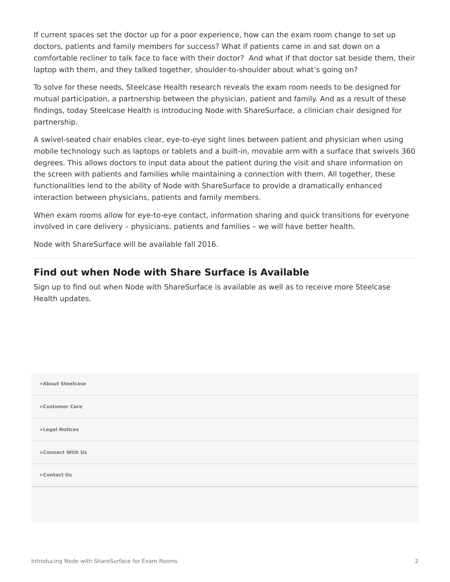If current spaces set the doctor up for a poor experience, how can the exam room change to set up doctors, patients and family members for success? What if patients came in and sat down on a comfortable recliner to talk face to face with their doctor? And what if that doctor sat beside them, their laptop with them, and they talked together, shoulder-to-shoulder about what's going on?

To solve for these needs, Steelcase Health research reveals the exam room needs to be designed for mutual participation, a partnership between the physician, patient and family. And as a result of these findings, today Steelcase Health is introducing Node with ShareSurface, a clinician chair designed for partnership.

A swivel-seated chair enables clear, eye-to-eye sight lines between patient and physician when using mobile technology such as laptops or tablets and a built-in, movable arm with a surface that swivels 360 degrees. This allows doctors to input data about the patient during the visit and share information on the screen with patients and families while maintaining a connection with them. All together, these functionalities lend to the ability of Node with ShareSurface to provide a dramatically enhanced interaction between physicians, patients and family members.

When exam rooms allow for eye-to-eye contact, information sharing and quick transitions for everyone involved in care delivery – physicians, patients and families – we will have better health.

Node with ShareSurface will be available fall 2016.

## **Find out when Node with Share Surface is Available**

Sign up to find out when Node with ShareSurface is available as well as to receive more Steelcase Health updates.

| +About Steelcase |  |
|------------------|--|
| +Customer Care   |  |
| +Legal Notices   |  |
| +Connect With Us |  |
| +Contact Us      |  |
|                  |  |